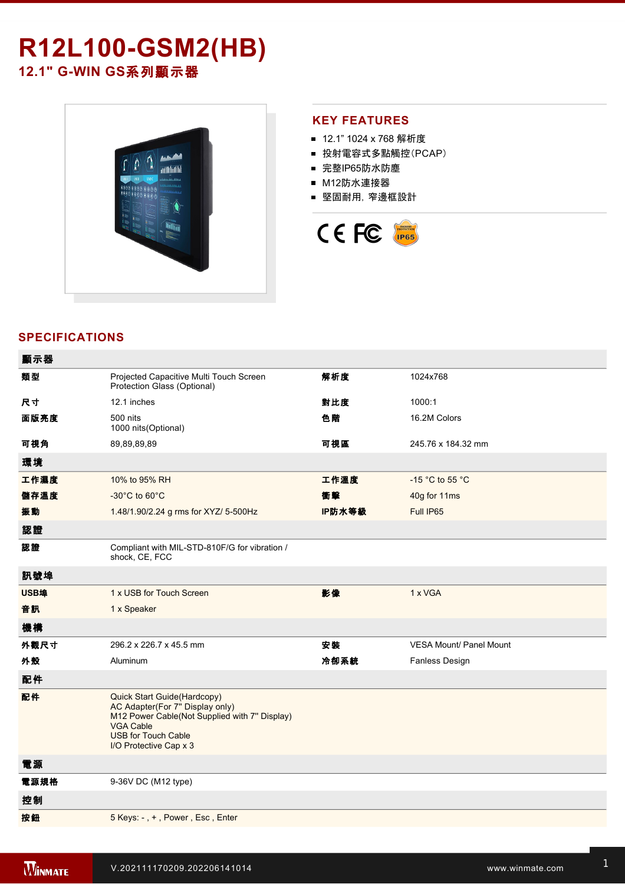# **R12L100GSM2(HB)**

12.1" G-WIN GS系列顯示器



## **KEY FEATURES**

- 12.1" 1024 x 768 解析度
- 投射電容式多點觸控(PCAP)
- 完整IP65防水防塵
- M12防水連接器
- 堅固耐用,窄邊框設計



# **SPECIFICATIONS**

| 顯示器  |                                                                                                                                                                                             |        |                                |
|------|---------------------------------------------------------------------------------------------------------------------------------------------------------------------------------------------|--------|--------------------------------|
| 類型   | Projected Capacitive Multi Touch Screen<br>Protection Glass (Optional)                                                                                                                      | 解析度    | 1024x768                       |
| 尺寸   | 12.1 inches                                                                                                                                                                                 | 對比度    | 1000:1                         |
| 面版亮度 | 500 nits<br>1000 nits(Optional)                                                                                                                                                             | 色階     | 16.2M Colors                   |
| 可視角  | 89,89,89,89                                                                                                                                                                                 | 可視區    | 245.76 x 184.32 mm             |
| 環境   |                                                                                                                                                                                             |        |                                |
| 工作濕度 | 10% to 95% RH                                                                                                                                                                               | 工作溫度   | -15 °C to 55 °C                |
| 儲存溫度 | -30°C to 60°C                                                                                                                                                                               | 衝擊     | 40g for 11ms                   |
| 振動   | 1.48/1.90/2.24 g rms for XYZ/ 5-500Hz                                                                                                                                                       | IP防水等級 | Full IP65                      |
| 認證   |                                                                                                                                                                                             |        |                                |
| 認證   | Compliant with MIL-STD-810F/G for vibration /<br>shock, CE, FCC                                                                                                                             |        |                                |
| 訊號埠  |                                                                                                                                                                                             |        |                                |
| USB埠 | 1 x USB for Touch Screen                                                                                                                                                                    | 影像     | 1 x VGA                        |
| 音訊   | 1 x Speaker                                                                                                                                                                                 |        |                                |
| 機構   |                                                                                                                                                                                             |        |                                |
| 外觀尺寸 | 296.2 x 226.7 x 45.5 mm                                                                                                                                                                     | 安装     | <b>VESA Mount/ Panel Mount</b> |
| 外殼   | Aluminum                                                                                                                                                                                    | 冷卻系統   | Fanless Design                 |
| 配件   |                                                                                                                                                                                             |        |                                |
| 配件   | Quick Start Guide(Hardcopy)<br>AC Adapter(For 7" Display only)<br>M12 Power Cable(Not Supplied with 7" Display)<br><b>VGA Cable</b><br><b>USB for Touch Cable</b><br>I/O Protective Cap x 3 |        |                                |
| 電源   |                                                                                                                                                                                             |        |                                |
| 電源規格 | 9-36V DC (M12 type)                                                                                                                                                                         |        |                                |
| 控制   |                                                                                                                                                                                             |        |                                |
| 按鈕   | 5 Keys: -, +, Power, Esc, Enter                                                                                                                                                             |        |                                |
|      |                                                                                                                                                                                             |        |                                |

**DIMENSIONS**  UNIT:MM